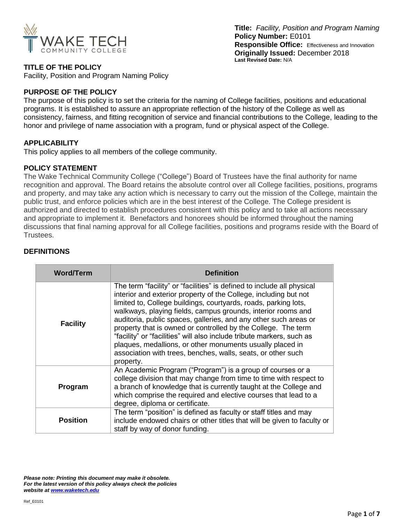

**Title:** *Facility, Position and Program Naming*  **Policy Number:** E0101 **Responsible Office:** Effectiveness and Innovation **Originally Issued:** December 2018 **Last Revised Date:** N/A

## **TITLE OF THE POLICY**

Facility, Position and Program Naming Policy

### **PURPOSE OF THE POLICY**

The purpose of this policy is to set the criteria for the naming of College facilities, positions and educational programs. It is established to assure an appropriate reflection of the history of the College as well as consistency, fairness, and fitting recognition of service and financial contributions to the College, leading to the honor and privilege of name association with a program, fund or physical aspect of the College.

### **APPLICABILITY**

This policy applies to all members of the college community.

### **POLICY STATEMENT**

The Wake Technical Community College ("College") Board of Trustees have the final authority for name recognition and approval. The Board retains the absolute control over all College facilities, positions, programs and property, and may take any action which is necessary to carry out the mission of the College, maintain the public trust, and enforce policies which are in the best interest of the College. The College president is authorized and directed to establish procedures consistent with this policy and to take all actions necessary and appropriate to implement it. Benefactors and honorees should be informed throughout the naming discussions that final naming approval for all College facilities, positions and programs reside with the Board of Trustees.

### **DEFINITIONS**

| <b>Word/Term</b> | <b>Definition</b>                                                                                                                                                                                                                                                                                                                                                                                                                                                                                                                                                                                                                     |  |  |
|------------------|---------------------------------------------------------------------------------------------------------------------------------------------------------------------------------------------------------------------------------------------------------------------------------------------------------------------------------------------------------------------------------------------------------------------------------------------------------------------------------------------------------------------------------------------------------------------------------------------------------------------------------------|--|--|
| <b>Facility</b>  | The term "facility" or "facilities" is defined to include all physical<br>interior and exterior property of the College, including but not<br>limited to, College buildings, courtyards, roads, parking lots,<br>walkways, playing fields, campus grounds, interior rooms and<br>auditoria, public spaces, galleries, and any other such areas or<br>property that is owned or controlled by the College. The term<br>"facility" or "facilities" will also include tribute markers, such as<br>plaques, medallions, or other monuments usually placed in<br>association with trees, benches, walls, seats, or other such<br>property. |  |  |
| Program          | An Academic Program ("Program") is a group of courses or a<br>college division that may change from time to time with respect to<br>a branch of knowledge that is currently taught at the College and<br>which comprise the required and elective courses that lead to a<br>degree, diploma or certificate.                                                                                                                                                                                                                                                                                                                           |  |  |
| <b>Position</b>  | The term "position" is defined as faculty or staff titles and may<br>include endowed chairs or other titles that will be given to faculty or<br>staff by way of donor funding.                                                                                                                                                                                                                                                                                                                                                                                                                                                        |  |  |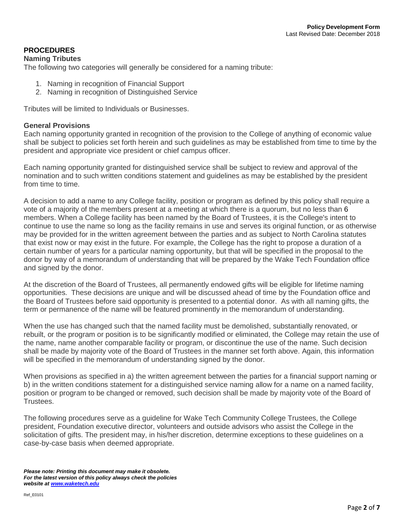# **PROCEDURES**

### **Naming Tributes**

The following two categories will generally be considered for a naming tribute:

- 1. Naming in recognition of Financial Support
- 2. Naming in recognition of Distinguished Service

Tributes will be limited to Individuals or Businesses.

### **General Provisions**

Each naming opportunity granted in recognition of the provision to the College of anything of economic value shall be subject to policies set forth herein and such guidelines as may be established from time to time by the president and appropriate vice president or chief campus officer.

Each naming opportunity granted for distinguished service shall be subject to review and approval of the nomination and to such written conditions statement and guidelines as may be established by the president from time to time.

A decision to add a name to any College facility, position or program as defined by this policy shall require a vote of a majority of the members present at a meeting at which there is a quorum, but no less than 6 members. When a College facility has been named by the Board of Trustees, it is the College's intent to continue to use the name so long as the facility remains in use and serves its original function, or as otherwise may be provided for in the written agreement between the parties and as subject to North Carolina statutes that exist now or may exist in the future. For example, the College has the right to propose a duration of a certain number of years for a particular naming opportunity, but that will be specified in the proposal to the donor by way of a memorandum of understanding that will be prepared by the Wake Tech Foundation office and signed by the donor.

At the discretion of the Board of Trustees, all permanently endowed gifts will be eligible for lifetime naming opportunities. These decisions are unique and will be discussed ahead of time by the Foundation office and the Board of Trustees before said opportunity is presented to a potential donor. As with all naming gifts, the term or permanence of the name will be featured prominently in the memorandum of understanding.

When the use has changed such that the named facility must be demolished, substantially renovated, or rebuilt, or the program or position is to be significantly modified or eliminated, the College may retain the use of the name, name another comparable facility or program, or discontinue the use of the name. Such decision shall be made by majority vote of the Board of Trustees in the manner set forth above. Again, this information will be specified in the memorandum of understanding signed by the donor.

When provisions as specified in a) the written agreement between the parties for a financial support naming or b) in the written conditions statement for a distinguished service naming allow for a name on a named facility, position or program to be changed or removed, such decision shall be made by majority vote of the Board of Trustees.

The following procedures serve as a guideline for Wake Tech Community College Trustees, the College president, Foundation executive director, volunteers and outside advisors who assist the College in the solicitation of gifts. The president may, in his/her discretion, determine exceptions to these guidelines on a case-by-case basis when deemed appropriate.

*Please note: Printing this document may make it obsolete. For the latest version of this policy always check the policies website at [www.waketech.edu](http://www.waketech.edu/)*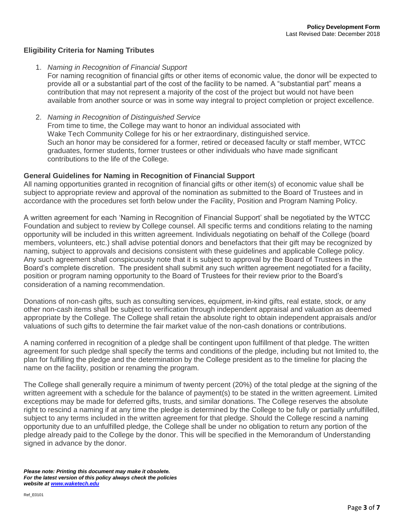# **Eligibility Criteria for Naming Tributes**

1. *Naming in Recognition of Financial Support*

For naming recognition of financial gifts or other items of economic value, the donor will be expected to provide all or a substantial part of the cost of the facility to be named. A "substantial part" means a contribution that may not represent a majority of the cost of the project but would not have been available from another source or was in some way integral to project completion or project excellence.

2. *Naming in Recognition of Distinguished Service* From time to time, the College may want to honor an individual associated with Wake Tech Community College for his or her extraordinary, distinguished service. Such an honor may be considered for a former, retired or deceased faculty or staff member, WTCC graduates, former students, former trustees or other individuals who have made significant contributions to the life of the College.

## **General Guidelines for Naming in Recognition of Financial Support**

All naming opportunities granted in recognition of financial gifts or other item(s) of economic value shall be subject to appropriate review and approval of the nomination as submitted to the Board of Trustees and in accordance with the procedures set forth below under the Facility, Position and Program Naming Policy.

A written agreement for each 'Naming in Recognition of Financial Support' shall be negotiated by the WTCC Foundation and subject to review by College counsel. All specific terms and conditions relating to the naming opportunity will be included in this written agreement. Individuals negotiating on behalf of the College (board members, volunteers, etc.) shall advise potential donors and benefactors that their gift may be recognized by naming, subject to approvals and decisions consistent with these guidelines and applicable College policy. Any such agreement shall conspicuously note that it is subject to approval by the Board of Trustees in the Board's complete discretion. The president shall submit any such written agreement negotiated for a facility, position or program naming opportunity to the Board of Trustees for their review prior to the Board's consideration of a naming recommendation.

Donations of non-cash gifts, such as consulting services, equipment, in-kind gifts, real estate, stock, or any other non-cash items shall be subject to verification through independent appraisal and valuation as deemed appropriate by the College. The College shall retain the absolute right to obtain independent appraisals and/or valuations of such gifts to determine the fair market value of the non-cash donations or contributions.

A naming conferred in recognition of a pledge shall be contingent upon fulfillment of that pledge. The written agreement for such pledge shall specify the terms and conditions of the pledge, including but not limited to, the plan for fulfilling the pledge and the determination by the College president as to the timeline for placing the name on the facility, position or renaming the program.

The College shall generally require a minimum of twenty percent (20%) of the total pledge at the signing of the written agreement with a schedule for the balance of payment(s) to be stated in the written agreement. Limited exceptions may be made for deferred gifts, trusts, and similar donations. The College reserves the absolute right to rescind a naming if at any time the pledge is determined by the College to be fully or partially unfulfilled, subject to any terms included in the written agreement for that pledge. Should the College rescind a naming opportunity due to an unfulfilled pledge, the College shall be under no obligation to return any portion of the pledge already paid to the College by the donor. This will be specified in the Memorandum of Understanding signed in advance by the donor.

*Please note: Printing this document may make it obsolete. For the latest version of this policy always check the policies website at [www.waketech.edu](http://www.waketech.edu/)*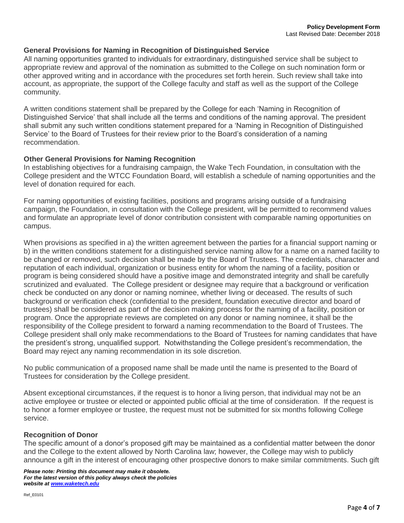### **General Provisions for Naming in Recognition of Distinguished Service**

All naming opportunities granted to individuals for extraordinary, distinguished service shall be subject to appropriate review and approval of the nomination as submitted to the College on such nomination form or other approved writing and in accordance with the procedures set forth herein. Such review shall take into account, as appropriate, the support of the College faculty and staff as well as the support of the College community.

A written conditions statement shall be prepared by the College for each 'Naming in Recognition of Distinguished Service' that shall include all the terms and conditions of the naming approval. The president shall submit any such written conditions statement prepared for a 'Naming in Recognition of Distinguished Service' to the Board of Trustees for their review prior to the Board's consideration of a naming recommendation.

### **Other General Provisions for Naming Recognition**

In establishing objectives for a fundraising campaign, the Wake Tech Foundation, in consultation with the College president and the WTCC Foundation Board, will establish a schedule of naming opportunities and the level of donation required for each.

For naming opportunities of existing facilities, positions and programs arising outside of a fundraising campaign, the Foundation, in consultation with the College president, will be permitted to recommend values and formulate an appropriate level of donor contribution consistent with comparable naming opportunities on campus.

When provisions as specified in a) the written agreement between the parties for a financial support naming or b) in the written conditions statement for a distinguished service naming allow for a name on a named facility to be changed or removed, such decision shall be made by the Board of Trustees. The credentials, character and reputation of each individual, organization or business entity for whom the naming of a facility, position or program is being considered should have a positive image and demonstrated integrity and shall be carefully scrutinized and evaluated. The College president or designee may require that a background or verification check be conducted on any donor or naming nominee, whether living or deceased. The results of such background or verification check (confidential to the president, foundation executive director and board of trustees) shall be considered as part of the decision making process for the naming of a facility, position or program. Once the appropriate reviews are completed on any donor or naming nominee, it shall be the responsibility of the College president to forward a naming recommendation to the Board of Trustees. The College president shall only make recommendations to the Board of Trustees for naming candidates that have the president's strong, unqualified support. Notwithstanding the College president's recommendation, the Board may reject any naming recommendation in its sole discretion.

No public communication of a proposed name shall be made until the name is presented to the Board of Trustees for consideration by the College president.

Absent exceptional circumstances, if the request is to honor a living person, that individual may not be an active employee or trustee or elected or appointed public official at the time of consideration. If the request is to honor a former employee or trustee, the request must not be submitted for six months following College service.

### **Recognition of Donor**

The specific amount of a donor's proposed gift may be maintained as a confidential matter between the donor and the College to the extent allowed by North Carolina law; however, the College may wish to publicly announce a gift in the interest of encouraging other prospective donors to make similar commitments. Such gift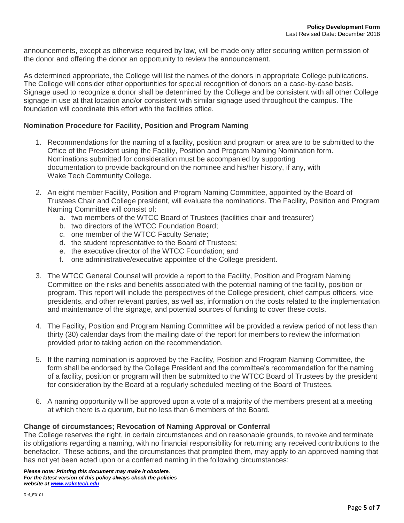announcements, except as otherwise required by law, will be made only after securing written permission of the donor and offering the donor an opportunity to review the announcement.

As determined appropriate, the College will list the names of the donors in appropriate College publications. The College will consider other opportunities for special recognition of donors on a case-by-case basis. Signage used to recognize a donor shall be determined by the College and be consistent with all other College signage in use at that location and/or consistent with similar signage used throughout the campus. The foundation will coordinate this effort with the facilities office.

### **Nomination Procedure for Facility, Position and Program Naming**

- 1. Recommendations for the naming of a facility, position and program or area are to be submitted to the Office of the President using the Facility, Position and Program Naming Nomination form. Nominations submitted for consideration must be accompanied by supporting documentation to provide background on the nominee and his/her history, if any, with Wake Tech Community College.
- 2. An eight member Facility, Position and Program Naming Committee, appointed by the Board of Trustees Chair and College president, will evaluate the nominations. The Facility, Position and Program Naming Committee will consist of:
	- a. two members of the WTCC Board of Trustees (facilities chair and treasurer)
	- b. two directors of the WTCC Foundation Board;
	- c. one member of the WTCC Faculty Senate;
	- d. the student representative to the Board of Trustees;
	- e. the executive director of the WTCC Foundation; and
	- f. one administrative/executive appointee of the College president.
- 3. The WTCC General Counsel will provide a report to the Facility, Position and Program Naming Committee on the risks and benefits associated with the potential naming of the facility, position or program. This report will include the perspectives of the College president, chief campus officers, vice presidents, and other relevant parties, as well as, information on the costs related to the implementation and maintenance of the signage, and potential sources of funding to cover these costs.
- 4. The Facility, Position and Program Naming Committee will be provided a review period of not less than thirty (30) calendar days from the mailing date of the report for members to review the information provided prior to taking action on the recommendation.
- 5. If the naming nomination is approved by the Facility, Position and Program Naming Committee, the form shall be endorsed by the College President and the committee's recommendation for the naming of a facility, position or program will then be submitted to the WTCC Board of Trustees by the president for consideration by the Board at a regularly scheduled meeting of the Board of Trustees.
- 6. A naming opportunity will be approved upon a vote of a majority of the members present at a meeting at which there is a quorum, but no less than 6 members of the Board.

### **Change of circumstances; Revocation of Naming Approval or Conferral**

The College reserves the right, in certain circumstances and on reasonable grounds, to revoke and terminate its obligations regarding a naming, with no financial responsibility for returning any received contributions to the benefactor. These actions, and the circumstances that prompted them, may apply to an approved naming that has not yet been acted upon or a conferred naming in the following circumstances: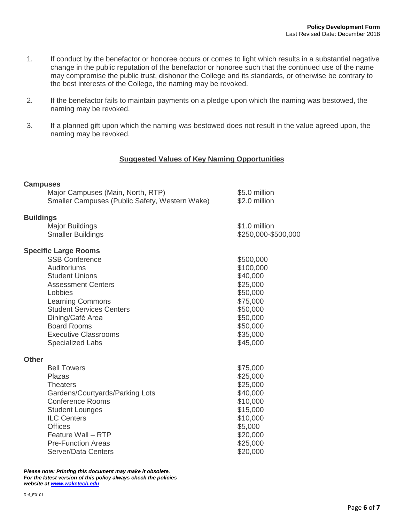- 1. If conduct by the benefactor or honoree occurs or comes to light which results in a substantial negative change in the public reputation of the benefactor or honoree such that the continued use of the name may compromise the public trust, dishonor the College and its standards, or otherwise be contrary to the best interests of the College, the naming may be revoked.
- 2. If the benefactor fails to maintain payments on a pledge upon which the naming was bestowed, the naming may be revoked.
- 3. If a planned gift upon which the naming was bestowed does not result in the value agreed upon, the naming may be revoked.

## **Suggested Values of Key Naming Opportunities**

### **Campuses**

|                  | Major Campuses (Main, North, RTP)              | \$5.0 million       |
|------------------|------------------------------------------------|---------------------|
|                  | Smaller Campuses (Public Safety, Western Wake) | \$2.0 million       |
| <b>Buildings</b> |                                                |                     |
|                  | <b>Major Buildings</b>                         | \$1.0 million       |
|                  | <b>Smaller Buildings</b>                       | \$250,000-\$500,000 |
|                  | <b>Specific Large Rooms</b>                    |                     |
|                  | <b>SSB Conference</b>                          | \$500,000           |
|                  | Auditoriums                                    | \$100,000           |
|                  | <b>Student Unions</b>                          | \$40,000            |
|                  | <b>Assessment Centers</b>                      | \$25,000            |
|                  | Lobbies                                        | \$50,000            |
|                  | <b>Learning Commons</b>                        | \$75,000            |
|                  | <b>Student Services Centers</b>                | \$50,000            |
|                  | Dining/Café Area                               | \$50,000            |
|                  | <b>Board Rooms</b>                             | \$50,000            |
|                  | <b>Executive Classrooms</b>                    | \$35,000            |
|                  | <b>Specialized Labs</b>                        | \$45,000            |
| <b>Other</b>     |                                                |                     |
|                  | <b>Bell Towers</b>                             | \$75,000            |
|                  | Plazas                                         | \$25,000            |
|                  | <b>Theaters</b>                                | \$25,000            |
|                  | Gardens/Courtyards/Parking Lots                | \$40,000            |
|                  | <b>Conference Rooms</b>                        | \$10,000            |
|                  | <b>Student Lounges</b>                         | \$15,000            |
|                  | <b>ILC Centers</b>                             | \$10,000            |
|                  | <b>Offices</b>                                 | \$5,000             |
|                  | Feature Wall - RTP                             | \$20,000            |
|                  | <b>Pre-Function Areas</b>                      | \$25,000            |
|                  | Server/Data Centers                            | \$20,000            |